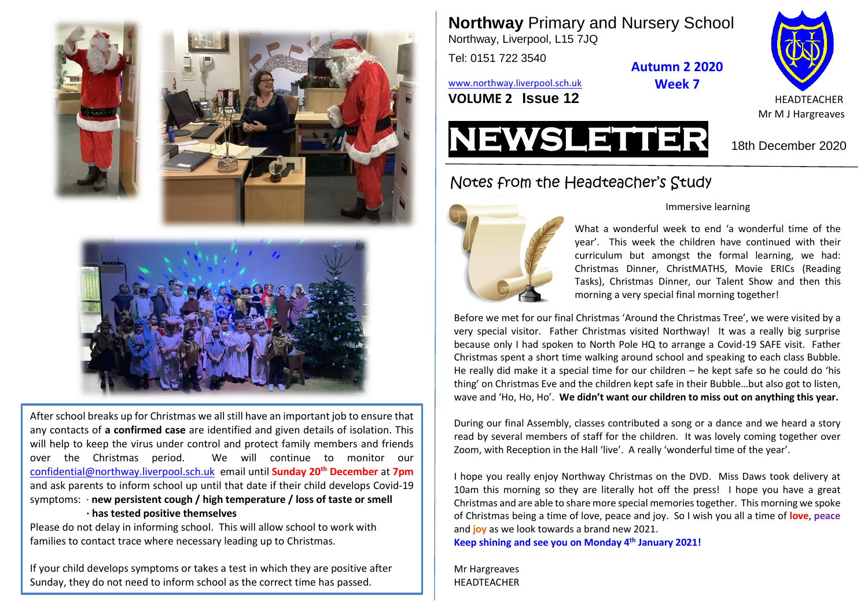



After school breaks up for Christmas we all still have an important job to ensure that any contacts of **a confirmed case** are identified and given details of isolation. This will help to keep the virus under control and protect family members and friends over the Christmas period. We will continue to monitor our [confidential@northway.liverpool.sch.uk](mailto:confidential@northway.liverpool.sch.uk) email until **Sunday 20th December** at **7pm** and ask parents to inform school up until that date if their child develops Covid-19 symptoms: · **new persistent cough / high temperature / loss of taste or smell · has tested positive themselves**

Please do not delay in informing school. This will allow school to work with families to contact trace where necessary leading up to Christmas.

If your child develops symptoms or takes a test in which they are positive after Sunday, they do not need to inform school as the correct time has passed.

**Northway** Primary and Nursery School

Northway, Liverpool, L15 7JQ Tel: 0151 722 3540

[www.northway.liverpool.sch.uk](http://www.northway.liverpool.sch.uk/) **Week 7**

**VOLUME 2 ISSUE 12** And A READTEACHER



# Notes from the Headteacher's Study



#### Immersive learning

**Autumn 2 2020**

What a wonderful week to end 'a wonderful time of the year'. This week the children have continued with their curriculum but amongst the formal learning, we had: Christmas Dinner, ChristMATHS, Movie ERICs (Reading Tasks), Christmas Dinner, our Talent Show and then this morning a very special final morning together!

Before we met for our final Christmas 'Around the Christmas Tree', we were visited by a very special visitor. Father Christmas visited Northway! It was a really big surprise because only I had spoken to North Pole HQ to arrange a Covid-19 SAFE visit. Father Christmas spent a short time walking around school and speaking to each class Bubble. He really did make it a special time for our children – he kept safe so he could do 'his thing' on Christmas Eve and the children kept safe in their Bubble…but also got to listen, wave and 'Ho, Ho, Ho'. **We didn't want our children to miss out on anything this year.**

During our final Assembly, classes contributed a song or a dance and we heard a story read by several members of staff for the children. It was lovely coming together over Zoom, with Reception in the Hall 'live'. A really 'wonderful time of the year'.

I hope you really enjoy Northway Christmas on the DVD. Miss Daws took delivery at 10am this morning so they are literally hot off the press! I hope you have a great Christmas and are able to share more special memories together. This morning we spoke of Christmas being a time of love, peace and joy. So I wish you all a time of **love**, **peace** and **joy** as we look towards a brand new 2021.

**Keep shining and see you on Monday 4th January 2021!**

Mr Hargreaves HEADTEACHER

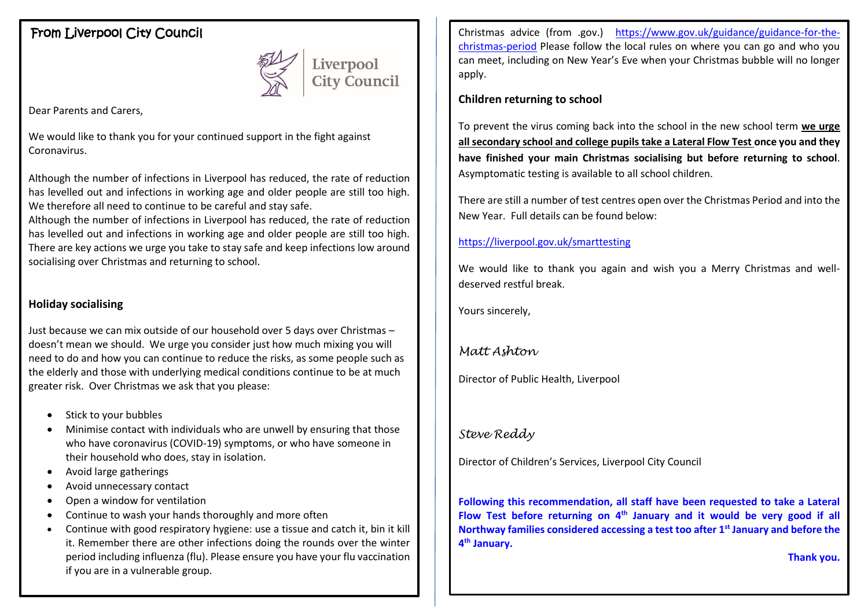### From Liverpool City Council



Liverpool<br>City Council

Dear Parents and Carers,

We would like to thank you for your continued support in the fight against Coronavirus.

Although the number of infections in Liverpool has reduced, the rate of reduction has levelled out and infections in working age and older people are still too high. We therefore all need to continue to be careful and stay safe.

Although the number of infections in Liverpool has reduced, the rate of reduction has levelled out and infections in working age and older people are still too high. There are key actions we urge you take to stay safe and keep infections low around socialising over Christmas and returning to school.

#### **Holiday socialising**

Just because we can mix outside of our household over 5 days over Christmas – doesn't mean we should. We urge you consider just how much mixing you will need to do and how you can continue to reduce the risks, as some people such as the elderly and those with underlying medical conditions continue to be at much greater risk. Over Christmas we ask that you please:

- Stick to your bubbles
- Minimise contact with individuals who are unwell by ensuring that those who have coronavirus (COVID-19) symptoms, or who have someone in their household who does, stay in isolation.
- Avoid large gatherings
- Avoid unnecessary contact
- Open a window for ventilation
- Continue to wash your hands thoroughly and more often
- Continue with good respiratory hygiene: use a tissue and catch it, bin it kill it. Remember there are other infections doing the rounds over the winter period including influenza (flu). Please ensure you have your flu vaccination if you are in a vulnerable group.

Christmas advice (from .gov.) [https://www.gov.uk/guidance/guidance-for-the](https://www.gov.uk/guidance/guidance-for-the-christmas-period)[christmas-period](https://www.gov.uk/guidance/guidance-for-the-christmas-period) Please follow the local rules on where you can go and who you can meet, including on New Year's Eve when your Christmas bubble will no longer apply.

#### **Children returning to school**

To prevent the virus coming back into the school in the new school term **we urge all secondary school and college pupils take a Lateral Flow Test once you and they have finished your main Christmas socialising but before returning to school**. Asymptomatic testing is available to all school children.

There are still a number of test centres open over the Christmas Period and into the New Year. Full details can be found below:

#### <https://liverpool.gov.uk/smarttesting>

We would like to thank you again and wish you a Merry Christmas and welldeserved restful break.

Yours sincerely,

#### *Matt Ashton*

Director of Public Health, Liverpool

#### *Steve Reddy*

Director of Children's Services, Liverpool City Council

**Following this recommendation, all staff have been requested to take a Lateral Flow Test before returning on 4th January and it would be very good if all Northway families considered accessing a test too after 1 st January and before the 4 th January.**

**Thank you.**